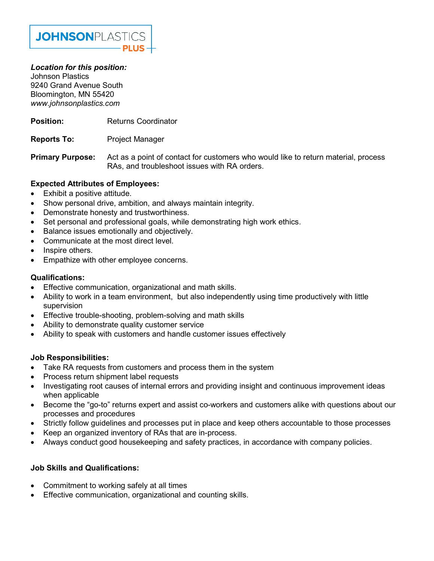

## Location for this position:

Johnson Plastics 9240 Grand Avenue South Bloomington, MN 55420 www.johnsonplastics.com

- **Position:** Returns Coordinator
- Reports To: Project Manager

**Primary Purpose:** Act as a point of contact for customers who would like to return material, process RAs, and troubleshoot issues with RA orders.

## Expected Attributes of Employees:

- Exhibit a positive attitude.
- Show personal drive, ambition, and always maintain integrity.
- Demonstrate honesty and trustworthiness.
- Set personal and professional goals, while demonstrating high work ethics.
- Balance issues emotionally and objectively.
- Communicate at the most direct level.
- Inspire others.
- Empathize with other employee concerns.

### Qualifications:

- Effective communication, organizational and math skills.
- Ability to work in a team environment, but also independently using time productively with little supervision
- Effective trouble-shooting, problem-solving and math skills
- Ability to demonstrate quality customer service
- Ability to speak with customers and handle customer issues effectively

#### Job Responsibilities:

- Take RA requests from customers and process them in the system
- Process return shipment label requests
- Investigating root causes of internal errors and providing insight and continuous improvement ideas when applicable
- Become the "go-to" returns expert and assist co-workers and customers alike with questions about our processes and procedures
- Strictly follow guidelines and processes put in place and keep others accountable to those processes
- Keep an organized inventory of RAs that are in-process.
- Always conduct good housekeeping and safety practices, in accordance with company policies.

## Job Skills and Qualifications:

- Commitment to working safely at all times
- Effective communication, organizational and counting skills.